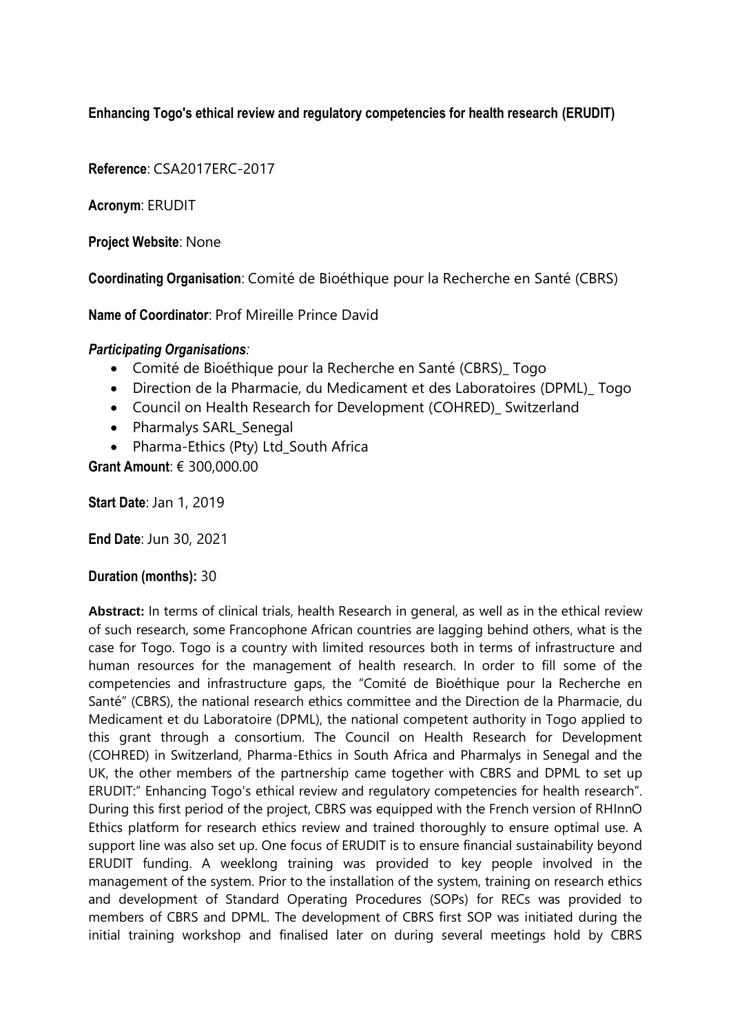## **Enhancing Togo's ethical review and regulatory competencies for health research (ERUDIT)**

**Reference**: CSA2017ERC-2017

**Acronym**: ERUDIT

**Project Website**: None

**Coordinating Organisation**: Comité de Bioéthique pour la Recherche en Santé (CBRS)

**Name of Coordinator**: Prof Mireille Prince David

## *Participating Organisations:*

- Comité de Bioéthique pour la Recherche en Santé (CBRS)\_ Togo
- Direction de la Pharmacie, du Medicament et des Laboratoires (DPML) Togo
- Council on Health Research for Development (COHRED) Switzerland
- Pharmalys SARL Senegal
- Pharma-Ethics (Pty) Ltd\_South Africa

**Grant Amount**: € 300,000.00

**Start Date**: Jan 1, 2019

**End Date**: Jun 30, 2021

## **Duration (months):** 30

**Abstract:** In terms of clinical trials, health Research in general, as well as in the ethical review of such research, some Francophone African countries are lagging behind others, what is the case for Togo. Togo is a country with limited resources both in terms of infrastructure and human resources for the management of health research. In order to fill some of the competencies and infrastructure gaps, the "Comité de Bioéthique pour la Recherche en Santé" (CBRS), the national research ethics committee and the Direction de la Pharmacie, du Medicament et du Laboratoire (DPML), the national competent authority in Togo applied to this grant through a consortium. The Council on Health Research for Development (COHRED) in Switzerland, Pharma-Ethics in South Africa and Pharmalys in Senegal and the UK, the other members of the partnership came together with CBRS and DPML to set up ERUDIT:" Enhancing Togo's ethical review and regulatory competencies for health research". During this first period of the project, CBRS was equipped with the French version of RHInnO Ethics platform for research ethics review and trained thoroughly to ensure optimal use. A support line was also set up. One focus of ERUDIT is to ensure financial sustainability beyond ERUDIT funding. A weeklong training was provided to key people involved in the management of the system. Prior to the installation of the system, training on research ethics and development of Standard Operating Procedures (SOPs) for RECs was provided to members of CBRS and DPML. The development of CBRS first SOP was initiated during the initial training workshop and finalised later on during several meetings hold by CBRS